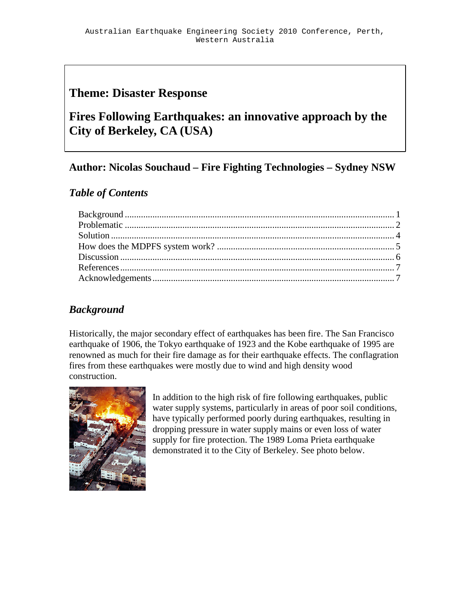# **Theme: Disaster Response**

# **Fires Following Earthquakes: an innovative approach by the City of Berkeley, CA (USA)**

# **Author: Nicolas Souchaud – Fire Fighting Technologies – Sydney NSW**

## *Table of Contents*

## *Background*

Historically, the major secondary effect of earthquakes has been fire. The San Francisco earthquake of 1906, the Tokyo earthquake of 1923 and the Kobe earthquake of 1995 are renowned as much for their fire damage as for their earthquake effects. The conflagration fires from these earthquakes were mostly due to wind and high density wood construction.



In addition to the high risk of fire following earthquakes, public water supply systems, particularly in areas of poor soil conditions, have typically performed poorly during earthquakes, resulting in dropping pressure in water supply mains or even loss of water supply for fire protection. The 1989 Loma Prieta earthquake demonstrated it to the City of Berkeley. See photo below.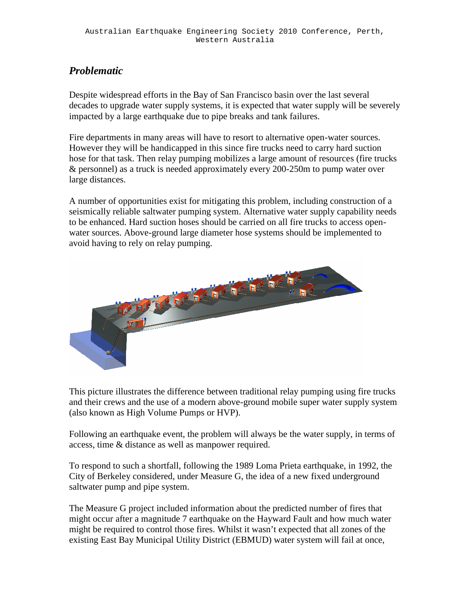## *Problematic*

Despite widespread efforts in the Bay of San Francisco basin over the last several decades to upgrade water supply systems, it is expected that water supply will be severely impacted by a large earthquake due to pipe breaks and tank failures.

Fire departments in many areas will have to resort to alternative open-water sources. However they will be handicapped in this since fire trucks need to carry hard suction hose for that task. Then relay pumping mobilizes a large amount of resources (fire trucks & personnel) as a truck is needed approximately every 200-250m to pump water over large distances.

A number of opportunities exist for mitigating this problem, including construction of a seismically reliable saltwater pumping system. Alternative water supply capability needs to be enhanced. Hard suction hoses should be carried on all fire trucks to access openwater sources. Above-ground large diameter hose systems should be implemented to avoid having to rely on relay pumping.



This picture illustrates the difference between traditional relay pumping using fire trucks and their crews and the use of a modern above-ground mobile super water supply system (also known as High Volume Pumps or HVP).

Following an earthquake event, the problem will always be the water supply, in terms of access, time & distance as well as manpower required.

To respond to such a shortfall, following the 1989 Loma Prieta earthquake, in 1992, the City of Berkeley considered, under Measure G, the idea of a new fixed underground saltwater pump and pipe system.

The Measure G project included information about the predicted number of fires that might occur after a magnitude 7 earthquake on the Hayward Fault and how much water might be required to control those fires. Whilst it wasn't expected that all zones of the existing East Bay Municipal Utility District (EBMUD) water system will fail at once,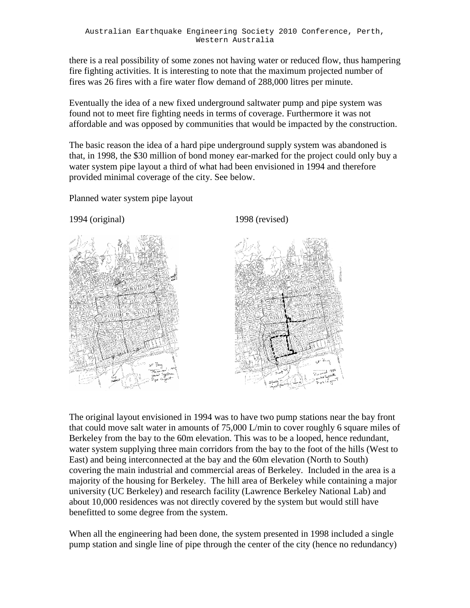there is a real possibility of some zones not having water or reduced flow, thus hampering fire fighting activities. It is interesting to note that the maximum projected number of fires was 26 fires with a fire water flow demand of 288,000 litres per minute.

Eventually the idea of a new fixed underground saltwater pump and pipe system was found not to meet fire fighting needs in terms of coverage. Furthermore it was not affordable and was opposed by communities that would be impacted by the construction.

The basic reason the idea of a hard pipe underground supply system was abandoned is that, in 1998, the \$30 million of bond money ear-marked for the project could only buy a water system pipe layout a third of what had been envisioned in 1994 and therefore provided minimal coverage of the city. See below.

Planned water system pipe layout

1994 (original) 1998 (revised)





The original layout envisioned in 1994 was to have two pump stations near the bay front that could move salt water in amounts of 75,000 L/min to cover roughly 6 square miles of Berkeley from the bay to the 60m elevation. This was to be a looped, hence redundant, water system supplying three main corridors from the bay to the foot of the hills (West to East) and being interconnected at the bay and the 60m elevation (North to South) covering the main industrial and commercial areas of Berkeley. Included in the area is a majority of the housing for Berkeley. The hill area of Berkeley while containing a major university (UC Berkeley) and research facility (Lawrence Berkeley National Lab) and about 10,000 residences was not directly covered by the system but would still have benefitted to some degree from the system.

When all the engineering had been done, the system presented in 1998 included a single pump station and single line of pipe through the center of the city (hence no redundancy)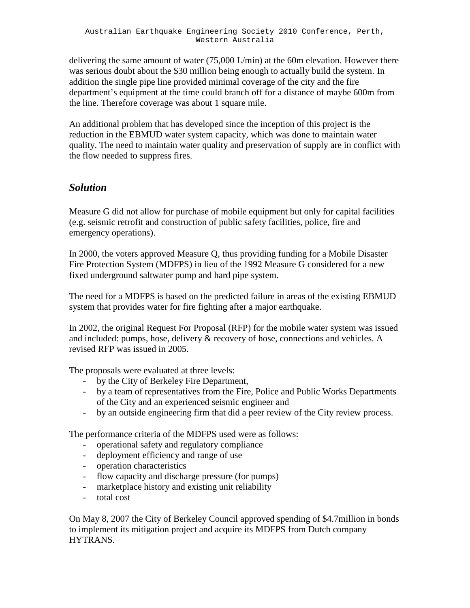delivering the same amount of water  $(75,000 \text{ L/min})$  at the 60m elevation. However there was serious doubt about the \$30 million being enough to actually build the system. In addition the single pipe line provided minimal coverage of the city and the fire department's equipment at the time could branch off for a distance of maybe 600m from the line. Therefore coverage was about 1 square mile.

An additional problem that has developed since the inception of this project is the reduction in the EBMUD water system capacity, which was done to maintain water quality. The need to maintain water quality and preservation of supply are in conflict with the flow needed to suppress fires.

#### *Solution*

Measure G did not allow for purchase of mobile equipment but only for capital facilities (e.g. seismic retrofit and construction of public safety facilities, police, fire and emergency operations).

In 2000, the voters approved Measure Q, thus providing funding for a Mobile Disaster Fire Protection System (MDFPS) in lieu of the 1992 Measure G considered for a new fixed underground saltwater pump and hard pipe system.

The need for a MDFPS is based on the predicted failure in areas of the existing EBMUD system that provides water for fire fighting after a major earthquake.

In 2002, the original Request For Proposal (RFP) for the mobile water system was issued and included: pumps, hose, delivery & recovery of hose, connections and vehicles. A revised RFP was issued in 2005.

The proposals were evaluated at three levels:

- by the City of Berkeley Fire Department,
- by a team of representatives from the Fire, Police and Public Works Departments of the City and an experienced seismic engineer and
- by an outside engineering firm that did a peer review of the City review process.

The performance criteria of the MDFPS used were as follows:

- operational safety and regulatory compliance
- deployment efficiency and range of use
- operation characteristics
- flow capacity and discharge pressure (for pumps)
- marketplace history and existing unit reliability
- total cost

On May 8, 2007 the City of Berkeley Council approved spending of \$4.7million in bonds to implement its mitigation project and acquire its MDFPS from Dutch company HYTRANS.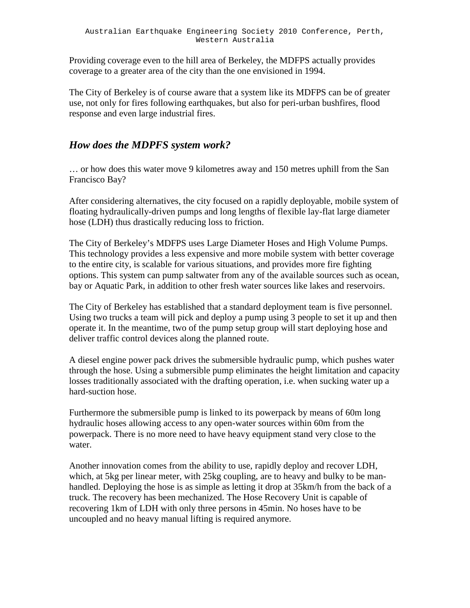Providing coverage even to the hill area of Berkeley, the MDFPS actually provides coverage to a greater area of the city than the one envisioned in 1994.

The City of Berkeley is of course aware that a system like its MDFPS can be of greater use, not only for fires following earthquakes, but also for peri-urban bushfires, flood response and even large industrial fires.

#### *How does the MDPFS system work?*

… or how does this water move 9 kilometres away and 150 metres uphill from the San Francisco Bay?

After considering alternatives, the city focused on a rapidly deployable, mobile system of floating hydraulically-driven pumps and long lengths of flexible lay-flat large diameter hose (LDH) thus drastically reducing loss to friction.

The City of Berkeley's MDFPS uses Large Diameter Hoses and High Volume Pumps. This technology provides a less expensive and more mobile system with better coverage to the entire city, is scalable for various situations, and provides more fire fighting options. This system can pump saltwater from any of the available sources such as ocean, bay or Aquatic Park, in addition to other fresh water sources like lakes and reservoirs.

The City of Berkeley has established that a standard deployment team is five personnel. Using two trucks a team will pick and deploy a pump using 3 people to set it up and then operate it. In the meantime, two of the pump setup group will start deploying hose and deliver traffic control devices along the planned route.

A diesel engine power pack drives the submersible hydraulic pump, which pushes water through the hose. Using a submersible pump eliminates the height limitation and capacity losses traditionally associated with the drafting operation, i.e. when sucking water up a hard-suction hose.

Furthermore the submersible pump is linked to its powerpack by means of 60m long hydraulic hoses allowing access to any open-water sources within 60m from the powerpack. There is no more need to have heavy equipment stand very close to the water.

Another innovation comes from the ability to use, rapidly deploy and recover LDH, which, at 5kg per linear meter, with 25kg coupling, are to heavy and bulky to be manhandled. Deploying the hose is as simple as letting it drop at 35km/h from the back of a truck. The recovery has been mechanized. The Hose Recovery Unit is capable of recovering 1km of LDH with only three persons in 45min. No hoses have to be uncoupled and no heavy manual lifting is required anymore.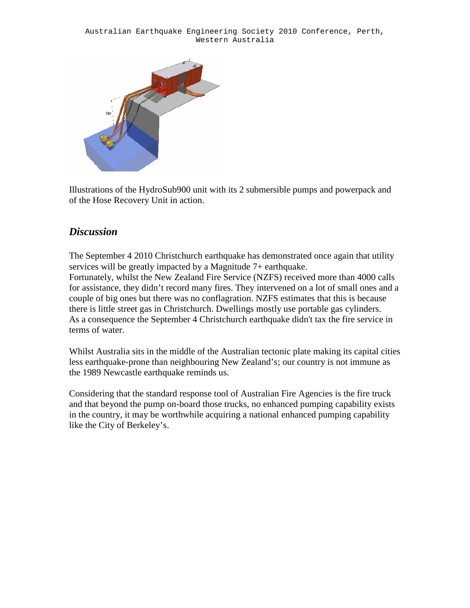

Illustrations of the HydroSub900 unit with its 2 submersible pumps and powerpack and of the Hose Recovery Unit in action.

## *Discussion*

The September 4 2010 Christchurch earthquake has demonstrated once again that utility services will be greatly impacted by a Magnitude 7+ earthquake. Fortunately, whilst the New Zealand Fire Service (NZFS) received more than 4000 calls for assistance, they didn't record many fires. They intervened on a lot of small ones and a couple of big ones but there was no conflagration. NZFS estimates that this is because there is little street gas in Christchurch. Dwellings mostly use portable gas cylinders. As a consequence the September 4 Christchurch earthquake didn't tax the fire service in terms of water.

Whilst Australia sits in the middle of the Australian tectonic plate making its capital cities less earthquake-prone than neighbouring New Zealand's; our country is not immune as the 1989 Newcastle earthquake reminds us.

Considering that the standard response tool of Australian Fire Agencies is the fire truck and that beyond the pump on-board those trucks, no enhanced pumping capability exists in the country, it may be worthwhile acquiring a national enhanced pumping capability like the City of Berkeley's.